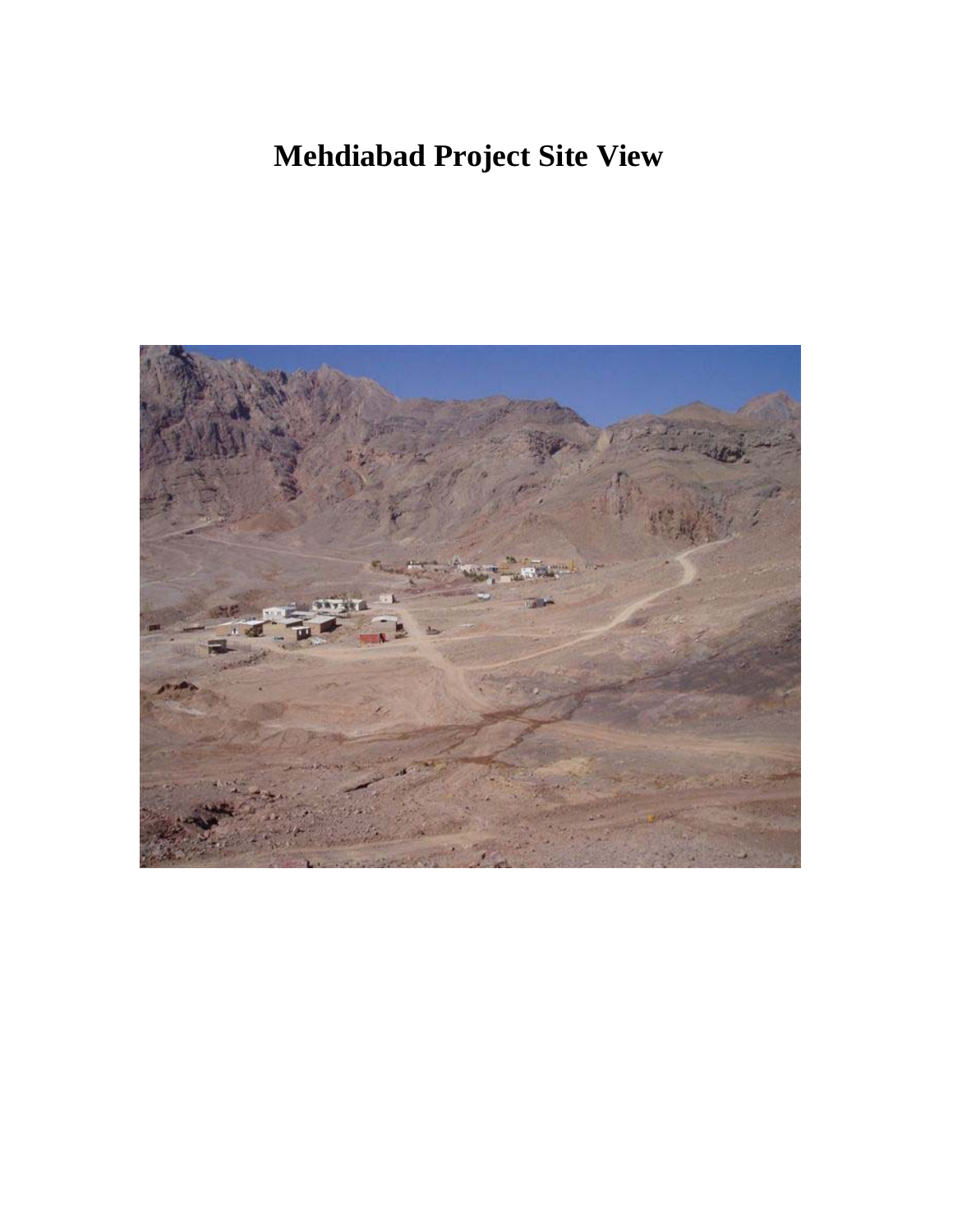## **Mehdiabad Project Site View**

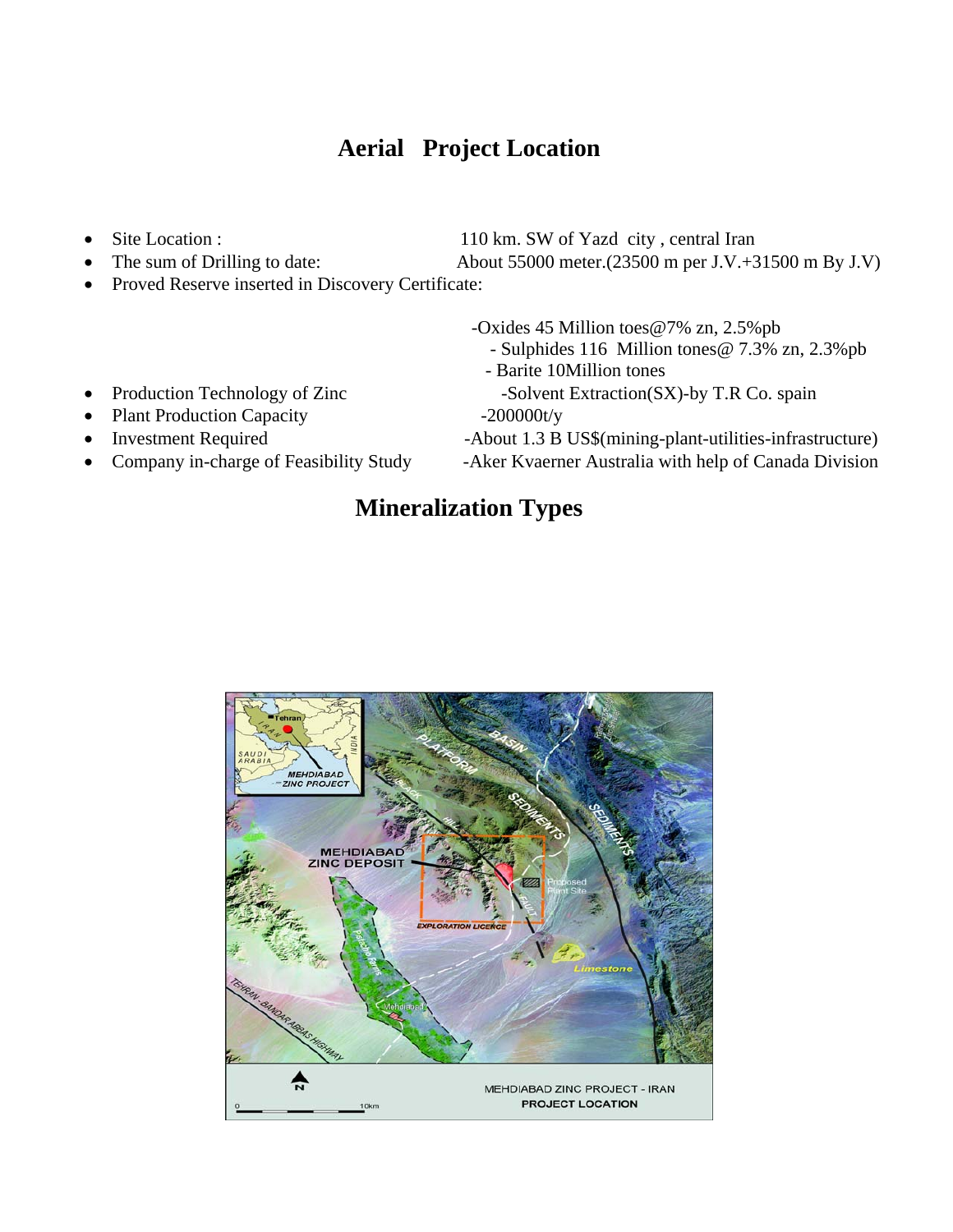#### **Aerial Project Location**

- 
- The sum of Drilling to date: About 55000 meter.(23500 m per J.V.+31500 m By J.V)

Site Location : 110 km. SW of Yazd city, central Iran

Proved Reserve inserted in Discovery Certificate:

-Oxides 45 Million toes@7% zn, 2.5%pb

- Sulphides 116 Million tones@ 7.3% zn, 2.3%pb
- Barite 10Million tones
- Production Technology of Zinc -Solvent Extraction(SX)-by T.R Co. spain
- Plant Production Capacity -200000t/y
- 
- 

Investment Required -About 1.3 B US\$(mining-plant-utilities-infrastructure)

• Company in-charge of Feasibility Study -Aker Kvaerner Australia with help of Canada Division

#### **Mineralization Types**

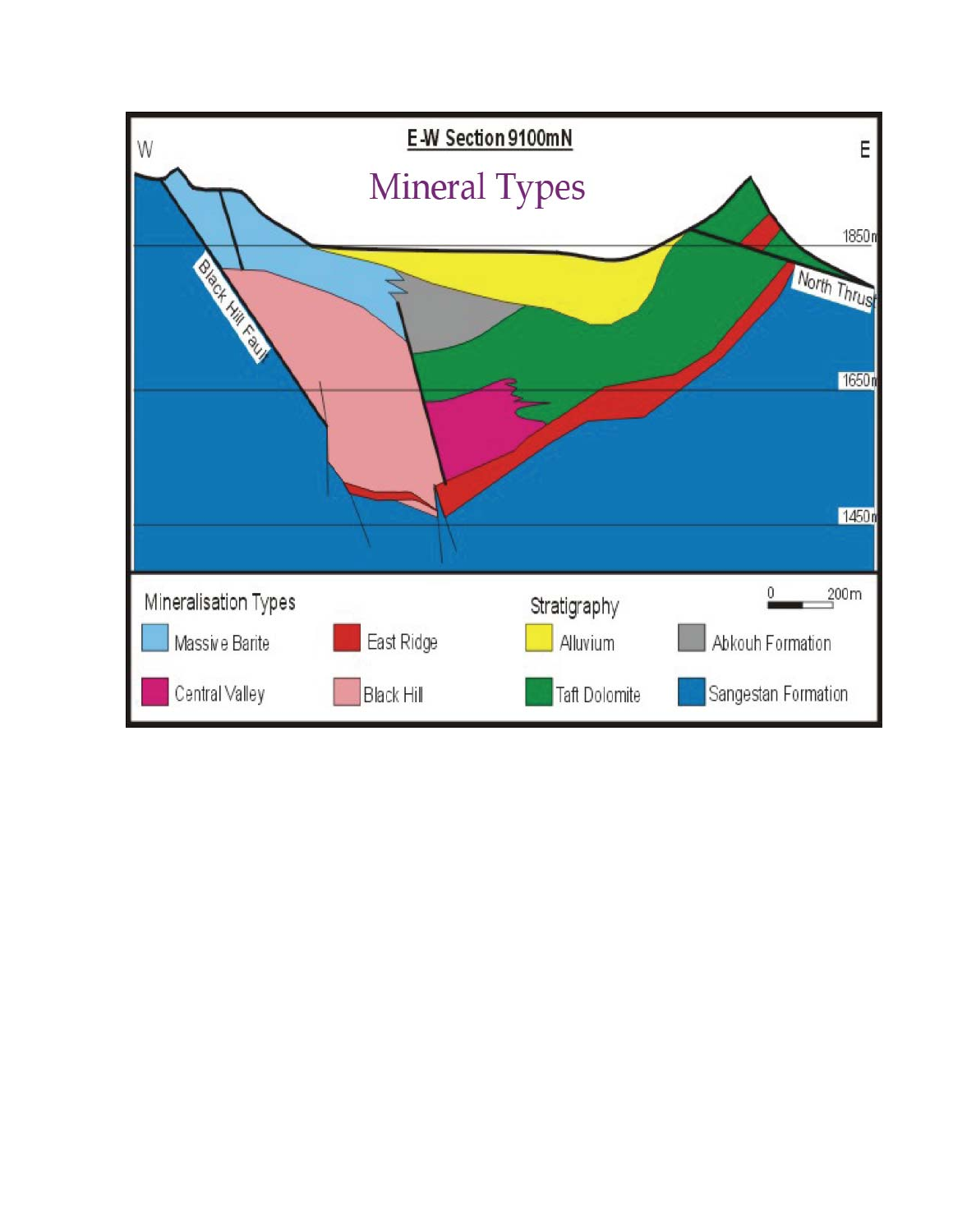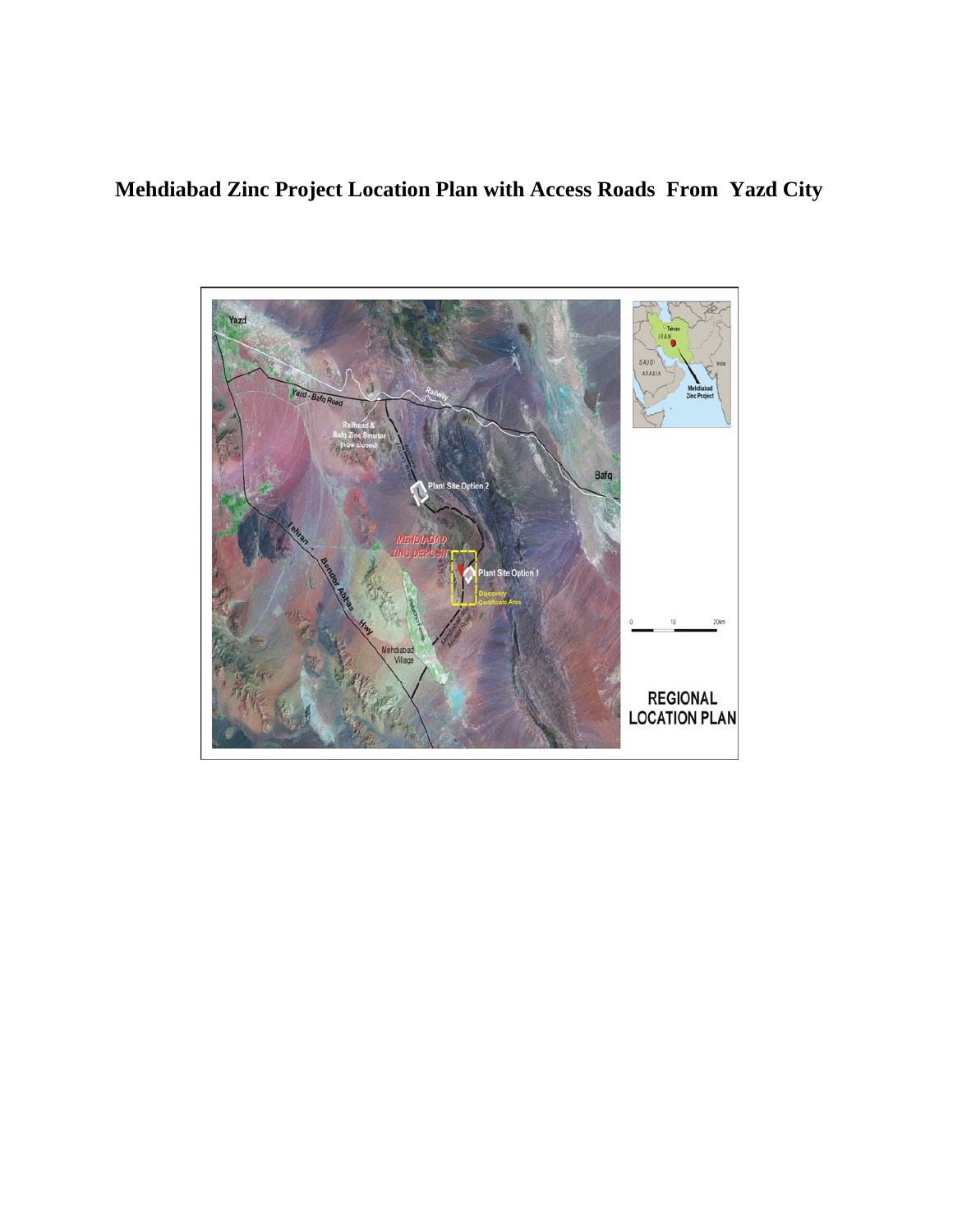#### **Mehdiabad Zinc Project Location Plan with Access Roads From Yazd City**

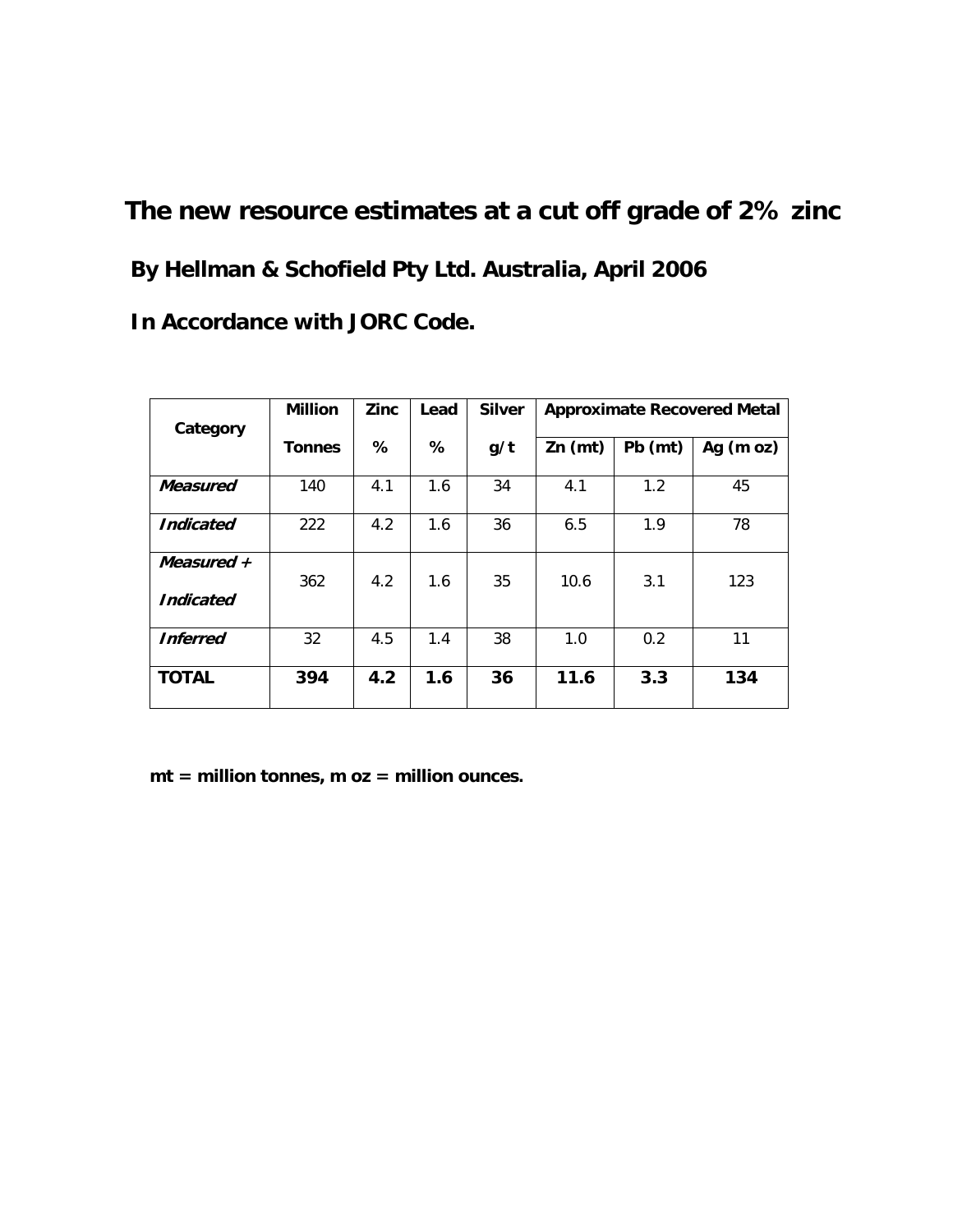# **The new resource estimates at a cut off grade of 2% zinc By Hellman & Schofield Pty Ltd. Australia, April 2006 In Accordance with JORC Code.**

| Category         | <b>Million</b> | <b>Zinc</b> | Lead | <b>Silver</b> | <b>Approximate Recovered Metal</b> |         |             |
|------------------|----------------|-------------|------|---------------|------------------------------------|---------|-------------|
|                  | <b>Tonnes</b>  | %           | %    | g/t           | $Zn$ (mt)                          | Pb (mt) | Ag $(m oz)$ |
| Measured         | 140            | 4.1         | 1.6  | 34            | 4.1                                | 1.2     | 45          |
| <b>Indicated</b> | 222            | 4.2         | 1.6  | 36            | 6.5                                | 1.9     | 78          |
| Measured $+$     | 362            | 4.2         | 1.6  | 35            | 10.6                               | 3.1     | 123         |
| <b>Indicated</b> |                |             |      |               |                                    |         |             |
| <b>Inferred</b>  | 32             | 4.5         | 1.4  | 38            | 1.0                                | 0.2     | 11          |
| <b>TOTAL</b>     | 394            | 4.2         | 1.6  | 36            | 11.6                               | 3.3     | 134         |

 **mt = million tonnes, m oz = million ounces.**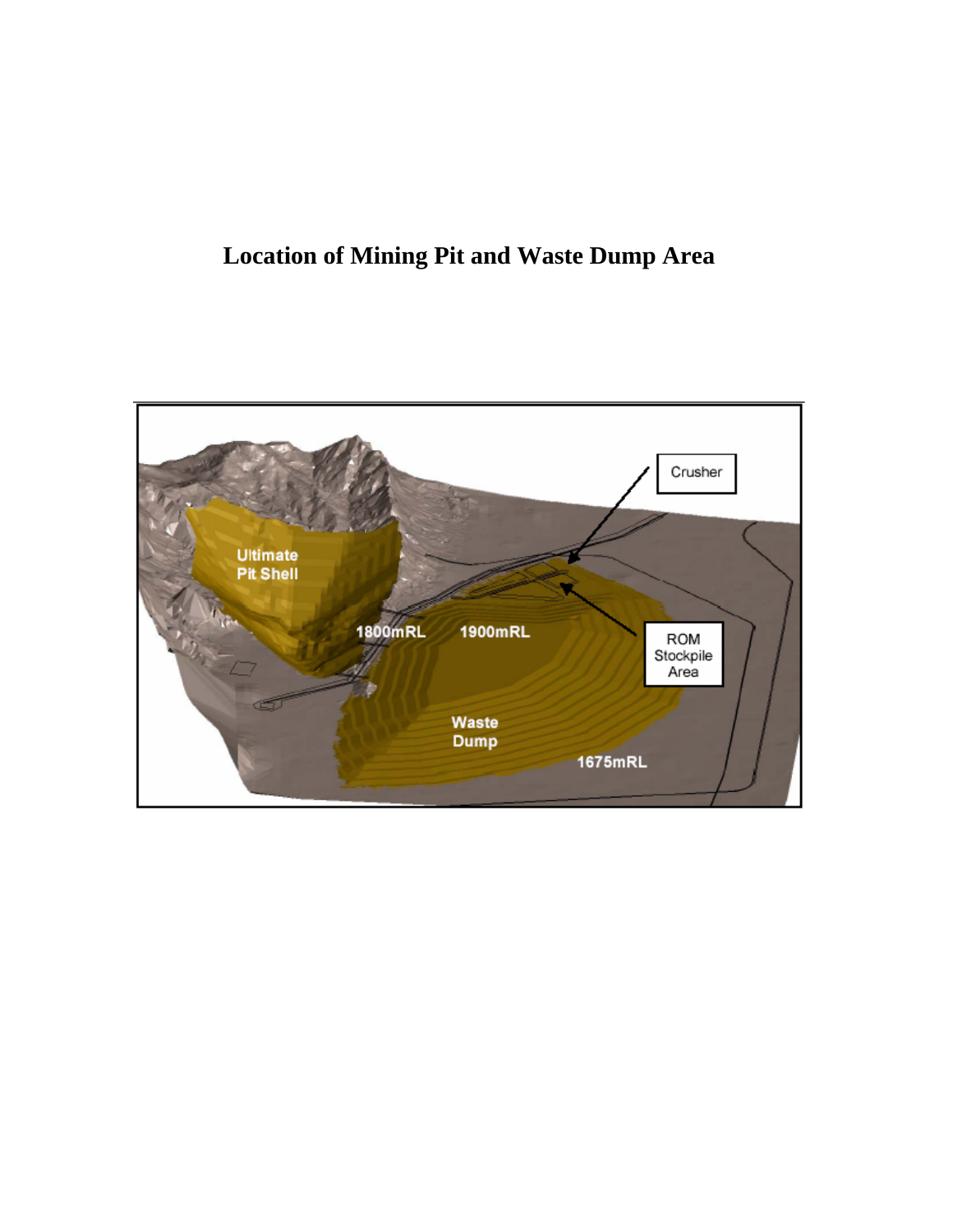### **Location of Mining Pit and Waste Dump Area**